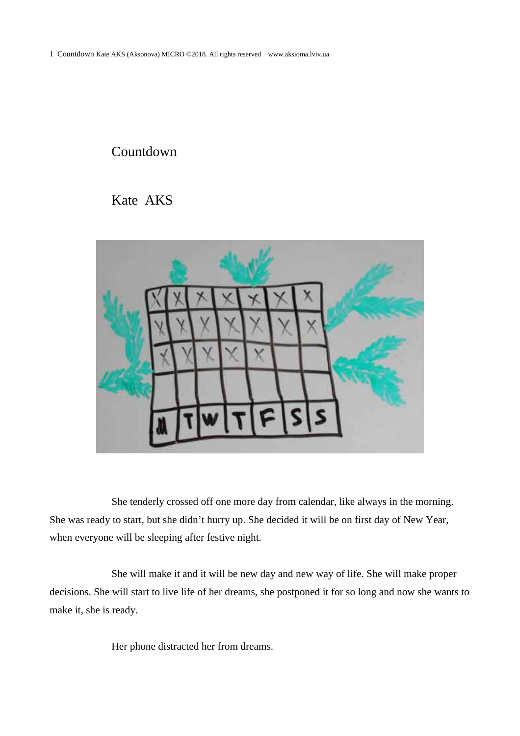## Countdown

Kate AKS



She tenderly crossed off one more day from calendar, like always in the morning. She was ready to start, but she didn't hurry up. She decided it will be on first day of New Year, when everyone will be sleeping after festive night.

She will make it and it will be new day and new way of life. She will make proper decisions. She will start to live life of her dreams, she postponed it for so long and now she wants to make it, she is ready.

Her phone distracted her from dreams.